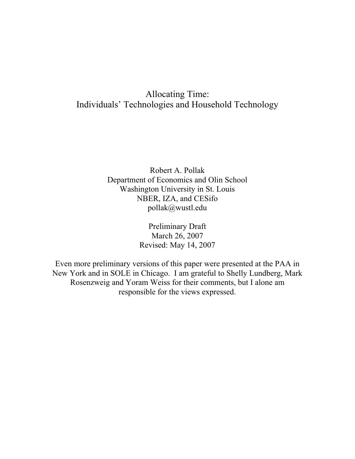# Allocating Time: Individuals' Technologies and Household Technology

Robert A. Pollak Department of Economics and Olin School Washington University in St. Louis NBER, IZA, and CESifo pollak@wustl.edu

> Preliminary Draft March 26, 2007 Revised: May 14, 2007

Even more preliminary versions of this paper were presented at the PAA in New York and in SOLE in Chicago. I am grateful to Shelly Lundberg, Mark Rosenzweig and Yoram Weiss for their comments, but I alone am responsible for the views expressed.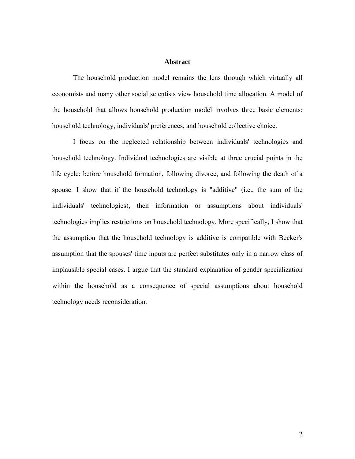## **Abstract**

 The household production model remains the lens through which virtually all economists and many other social scientists view household time allocation. A model of the household that allows household production model involves three basic elements: household technology, individuals' preferences, and household collective choice.

 I focus on the neglected relationship between individuals' technologies and household technology. Individual technologies are visible at three crucial points in the life cycle: before household formation, following divorce, and following the death of a spouse. I show that if the household technology is "additive" (i.e., the sum of the individuals' technologies), then information or assumptions about individuals' technologies implies restrictions on household technology. More specifically, I show that the assumption that the household technology is additive is compatible with Becker's assumption that the spouses' time inputs are perfect substitutes only in a narrow class of implausible special cases. I argue that the standard explanation of gender specialization within the household as a consequence of special assumptions about household technology needs reconsideration.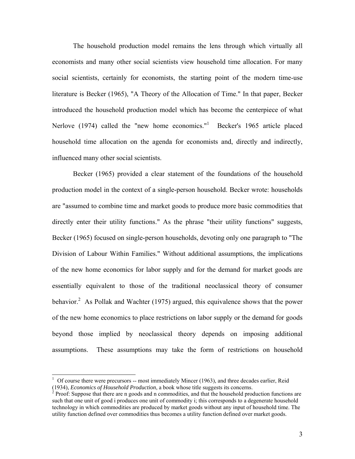The household production model remains the lens through which virtually all economists and many other social scientists view household time allocation. For many social scientists, certainly for economists, the starting point of the modern time-use literature is Becker (1965), "A Theory of the Allocation of Time." In that paper, Becker introduced the household production model which has become the centerpiece of what Nerlove (1974) called the "new home economics."<sup>1</sup> Becker's 1965 article placed household time allocation on the agenda for economists and, directly and indirectly, influenced many other social scientists.

 Becker (1965) provided a clear statement of the foundations of the household production model in the context of a single-person household. Becker wrote: households are "assumed to combine time and market goods to produce more basic commodities that directly enter their utility functions." As the phrase "their utility functions" suggests, Becker (1965) focused on single-person households, devoting only one paragraph to "The Division of Labour Within Families." Without additional assumptions, the implications of the new home economics for labor supply and for the demand for market goods are essentially equivalent to those of the traditional neoclassical theory of consumer behavior.<sup>2</sup> As Pollak and Wachter (1975) argued, this equivalence shows that the power of the new home economics to place restrictions on labor supply or the demand for goods beyond those implied by neoclassical theory depends on imposing additional assumptions. These assumptions may take the form of restrictions on household

l

 $1$  Of course there were precursors -- most immediately Mincer (1963), and three decades earlier, Reid (1934), *Economics of Household Production*, a book whose title suggests its concerns. 2

 $P^2$  Proof: Suppose that there are n goods and n commodities, and that the household production functions are such that one unit of good i produces one unit of commodity i; this corresponds to a degenerate household technology in which commodities are produced by market goods without any input of household time. The utility function defined over commodities thus becomes a utility function defined over market goods.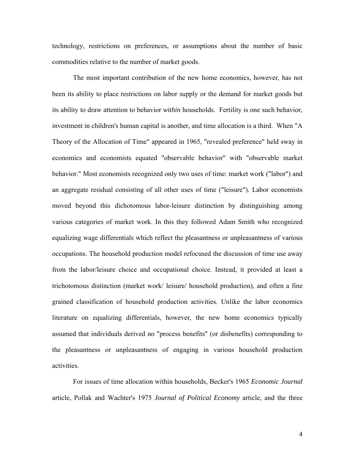technology, restrictions on preferences, or assumptions about the number of basic commodities relative to the number of market goods.

The most important contribution of the new home economics, however, has not been its ability to place restrictions on labor supply or the demand for market goods but its ability to draw attention to behavior *within* households. Fertility is one such behavior, investment in children's human capital is another, and time allocation is a third. When "A Theory of the Allocation of Time" appeared in 1965, "revealed preference" held sway in economics and economists equated "observable behavior" with "observable market behavior." Most economists recognized only two uses of time: market work ("labor") and an aggregate residual consisting of all other uses of time ("leisure"). Labor economists moved beyond this dichotomous labor-leisure distinction by distinguishing among various categories of market work. In this they followed Adam Smith who recognized equalizing wage differentials which reflect the pleasantness or unpleasantness of various occupations. The household production model refocused the discussion of time use away from the labor/leisure choice and occupational choice. Instead, it provided at least a trichotomous distinction (market work/ leisure/ household production), and often a fine grained classification of household production activities. Unlike the labor economics literature on equalizing differentials, however, the new home economics typically assumed that individuals derived no "process benefits" (or disbenefits) corresponding to the pleasantness or unpleasantness of engaging in various household production activities.

For issues of time allocation within households, Becker's 1965 *Economic Journal* article, Pollak and Wachter's 1975 *Journal of Political Economy* article, and the three

4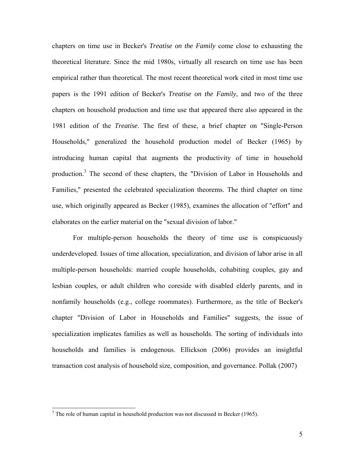chapters on time use in Becker's *Treatise on the Family* come close to exhausting the theoretical literature. Since the mid 1980s, virtually all research on time use has been empirical rather than theoretical. The most recent theoretical work cited in most time use papers is the 1991 edition of Becker's *Treatise on the Family*, and two of the three chapters on household production and time use that appeared there also appeared in the 1981 edition of the *Treatise*. The first of these, a brief chapter on "Single-Person Households," generalized the household production model of Becker (1965) by introducing human capital that augments the productivity of time in household production.<sup>3</sup> The second of these chapters, the "Division of Labor in Households and Families," presented the celebrated specialization theorems. The third chapter on time use, which originally appeared as Becker (1985), examines the allocation of "effort" and elaborates on the earlier material on the "sexual division of labor."

For multiple-person households the theory of time use is conspicuously underdeveloped. Issues of time allocation, specialization, and division of labor arise in all multiple-person households: married couple households, cohabiting couples, gay and lesbian couples, or adult children who coreside with disabled elderly parents, and in nonfamily households (e.g., college roommates). Furthermore, as the title of Becker's chapter "Division of Labor in Households and Families" suggests, the issue of specialization implicates families as well as households. The sorting of individuals into households and families is endogenous. Ellickson (2006) provides an insightful transaction cost analysis of household size, composition, and governance. Pollak (2007)

 $3$  The role of human capital in household production was not discussed in Becker (1965).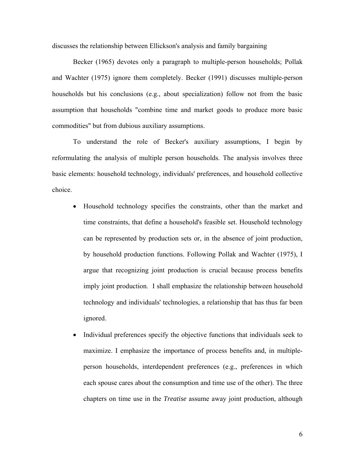discusses the relationship between Ellickson's analysis and family bargaining

Becker (1965) devotes only a paragraph to multiple-person households; Pollak and Wachter (1975) ignore them completely. Becker (1991) discusses multiple-person households but his conclusions (e.g., about specialization) follow not from the basic assumption that households "combine time and market goods to produce more basic commodities" but from dubious auxiliary assumptions.

To understand the role of Becker's auxiliary assumptions, I begin by reformulating the analysis of multiple person households. The analysis involves three basic elements: household technology, individuals' preferences, and household collective choice.

- Household technology specifies the constraints, other than the market and time constraints, that define a household's feasible set. Household technology can be represented by production sets or, in the absence of joint production, by household production functions. Following Pollak and Wachter (1975), I argue that recognizing joint production is crucial because process benefits imply joint production. I shall emphasize the relationship between household technology and individuals' technologies, a relationship that has thus far been ignored.
- Individual preferences specify the objective functions that individuals seek to maximize. I emphasize the importance of process benefits and, in multipleperson households, interdependent preferences (e.g., preferences in which each spouse cares about the consumption and time use of the other). The three chapters on time use in the *Treatise* assume away joint production, although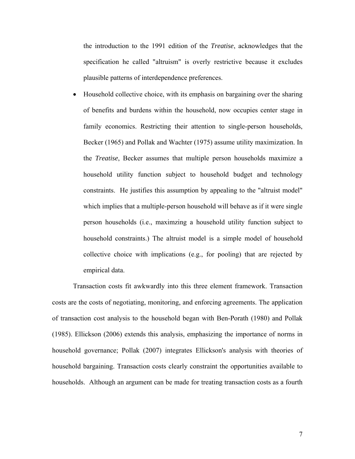the introduction to the 1991 edition of the *Treatise*, acknowledges that the specification he called "altruism" is overly restrictive because it excludes plausible patterns of interdependence preferences.

• Household collective choice, with its emphasis on bargaining over the sharing of benefits and burdens within the household, now occupies center stage in family economics. Restricting their attention to single-person households, Becker (1965) and Pollak and Wachter (1975) assume utility maximization. In the *Treatise*, Becker assumes that multiple person households maximize a household utility function subject to household budget and technology constraints. He justifies this assumption by appealing to the "altruist model" which implies that a multiple-person household will behave as if it were single person households (i.e., maximzing a household utility function subject to household constraints.) The altruist model is a simple model of household collective choice with implications (e.g., for pooling) that are rejected by empirical data.

 Transaction costs fit awkwardly into this three element framework. Transaction costs are the costs of negotiating, monitoring, and enforcing agreements. The application of transaction cost analysis to the household began with Ben-Porath (1980) and Pollak (1985). Ellickson (2006) extends this analysis, emphasizing the importance of norms in household governance; Pollak (2007) integrates Ellickson's analysis with theories of household bargaining. Transaction costs clearly constraint the opportunities available to households. Although an argument can be made for treating transaction costs as a fourth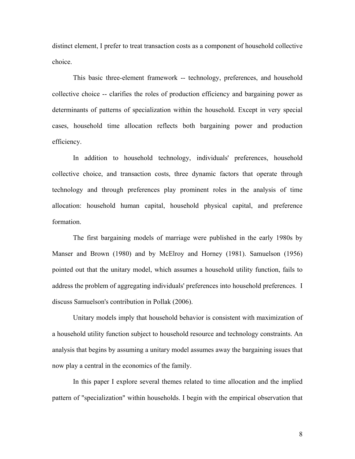distinct element, I prefer to treat transaction costs as a component of household collective choice.

 This basic three-element framework -- technology, preferences, and household collective choice -- clarifies the roles of production efficiency and bargaining power as determinants of patterns of specialization within the household. Except in very special cases, household time allocation reflects both bargaining power and production efficiency.

In addition to household technology, individuals' preferences, household collective choice, and transaction costs, three dynamic factors that operate through technology and through preferences play prominent roles in the analysis of time allocation: household human capital, household physical capital, and preference formation.

The first bargaining models of marriage were published in the early 1980s by Manser and Brown (1980) and by McElroy and Horney (1981). Samuelson (1956) pointed out that the unitary model, which assumes a household utility function, fails to address the problem of aggregating individuals' preferences into household preferences. I discuss Samuelson's contribution in Pollak (2006).

Unitary models imply that household behavior is consistent with maximization of a household utility function subject to household resource and technology constraints. An analysis that begins by assuming a unitary model assumes away the bargaining issues that now play a central in the economics of the family.

In this paper I explore several themes related to time allocation and the implied pattern of "specialization" within households. I begin with the empirical observation that

8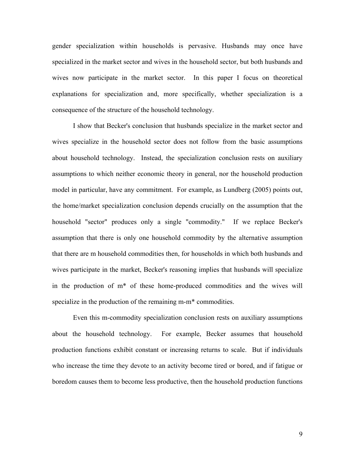gender specialization within households is pervasive. Husbands may once have specialized in the market sector and wives in the household sector, but both husbands and wives now participate in the market sector. In this paper I focus on theoretical explanations for specialization and, more specifically, whether specialization is a consequence of the structure of the household technology.

I show that Becker's conclusion that husbands specialize in the market sector and wives specialize in the household sector does not follow from the basic assumptions about household technology. Instead, the specialization conclusion rests on auxiliary assumptions to which neither economic theory in general, nor the household production model in particular, have any commitment. For example, as Lundberg (2005) points out, the home/market specialization conclusion depends crucially on the assumption that the household "sector" produces only a single "commodity." If we replace Becker's assumption that there is only one household commodity by the alternative assumption that there are m household commodities then, for households in which both husbands and wives participate in the market, Becker's reasoning implies that husbands will specialize in the production of m\* of these home-produced commodities and the wives will specialize in the production of the remaining m-m\* commodities.

 Even this m-commodity specialization conclusion rests on auxiliary assumptions about the household technology. For example, Becker assumes that household production functions exhibit constant or increasing returns to scale. But if individuals who increase the time they devote to an activity become tired or bored, and if fatigue or boredom causes them to become less productive, then the household production functions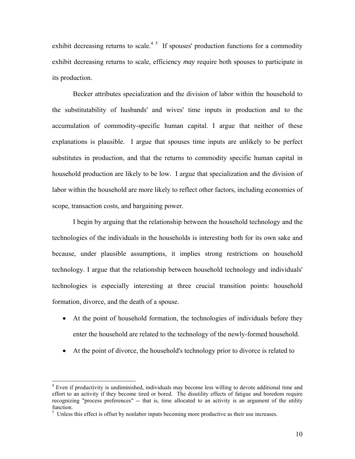exhibit decreasing returns to scale.<sup>45</sup> If spouses' production functions for a commodity exhibit decreasing returns to scale, efficiency *may* require both spouses to participate in its production.

Becker attributes specialization and the division of labor within the household to the substitutability of husbands' and wives' time inputs in production and to the accumulation of commodity-specific human capital. I argue that neither of these explanations is plausible. I argue that spouses time inputs are unlikely to be perfect substitutes in production, and that the returns to commodity specific human capital in household production are likely to be low. I argue that specialization and the division of labor within the household are more likely to reflect other factors, including economies of scope, transaction costs, and bargaining power.

I begin by arguing that the relationship between the household technology and the technologies of the individuals in the households is interesting both for its own sake and because, under plausible assumptions, it implies strong restrictions on household technology. I argue that the relationship between household technology and individuals' technologies is especially interesting at three crucial transition points: household formation, divorce, and the death of a spouse.

- At the point of household formation, the technologies of individuals before they enter the household are related to the technology of the newly-formed household.
- At the point of divorce, the household's technology prior to divorce is related to

<sup>&</sup>lt;sup>4</sup> Even if productivity is undiminished, individuals may become less willing to devote additional time and effort to an activity if they become tired or bored. The disutility effects of fatigue and boredom require recognizing "process preferences" -- that is, time allocated to an activity is an argument of the utility function.

 $<sup>5</sup>$  Unless this effect is offset by nonlabor inputs becoming more productive as their use increases.</sup>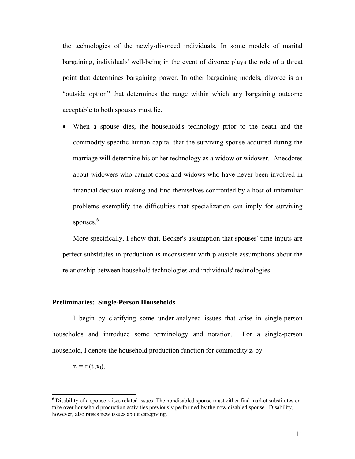the technologies of the newly-divorced individuals. In some models of marital bargaining, individuals' well-being in the event of divorce plays the role of a threat point that determines bargaining power. In other bargaining models, divorce is an "outside option" that determines the range within which any bargaining outcome acceptable to both spouses must lie.

• When a spouse dies, the household's technology prior to the death and the commodity-specific human capital that the surviving spouse acquired during the marriage will determine his or her technology as a widow or widower. Anecdotes about widowers who cannot cook and widows who have never been involved in financial decision making and find themselves confronted by a host of unfamiliar problems exemplify the difficulties that specialization can imply for surviving spouses. $6$ 

More specifically, I show that, Becker's assumption that spouses' time inputs are perfect substitutes in production is inconsistent with plausible assumptions about the relationship between household technologies and individuals' technologies.

## **Preliminaries: Single-Person Households**

 I begin by clarifying some under-analyzed issues that arise in single-person households and introduce some terminology and notation. For a single-person household, I denote the household production function for commodity  $z_i$  by

 $z_i = f_i(t_i, x_i)$ ,

l

<sup>&</sup>lt;sup>6</sup> Disability of a spouse raises related issues. The nondisabled spouse must either find market substitutes or take over household production activities previously performed by the now disabled spouse. Disability, however, also raises new issues about caregiving.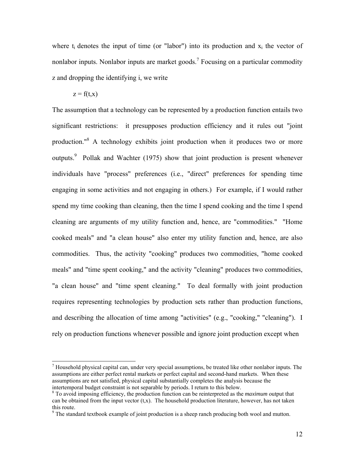where  $t_i$  denotes the input of time (or "labor") into its production and  $x_i$  the vector of nonlabor inputs. Nonlabor inputs are market goods.<sup>7</sup> Focusing on a particular commodity z and dropping the identifying i, we write

 $z = f(t,x)$ 

 $\overline{a}$ 

The assumption that a technology can be represented by a production function entails two significant restrictions: it presupposes production efficiency and it rules out "joint production."<sup>8</sup> A technology exhibits joint production when it produces two or more outputs.<sup>9</sup> Pollak and Wachter (1975) show that joint production is present whenever individuals have "process" preferences (i.e., "direct" preferences for spending time engaging in some activities and not engaging in others.) For example, if I would rather spend my time cooking than cleaning, then the time I spend cooking and the time I spend cleaning are arguments of my utility function and, hence, are "commodities." "Home cooked meals" and "a clean house" also enter my utility function and, hence, are also commodities. Thus, the activity "cooking" produces two commodities, "home cooked meals" and "time spent cooking," and the activity "cleaning" produces two commodities, "a clean house" and "time spent cleaning." To deal formally with joint production requires representing technologies by production sets rather than production functions, and describing the allocation of time among "activities" (e.g., "cooking," "cleaning"). I rely on production functions whenever possible and ignore joint production except when

 $<sup>7</sup>$  Household physical capital can, under very special assumptions, be treated like other nonlabor inputs. The</sup> assumptions are either perfect rental markets or perfect capital and second-hand markets. When these assumptions are not satisfied, physical capital substantially completes the analysis because the intertemporal budget constraint is not separable by periods. I return to this below.

<sup>&</sup>lt;sup>8</sup> To avoid imposing efficiency, the production function can be reinterpreted as the *maximum* output that can be obtained from the input vector  $(t, x)$ . The household production literature, however, has not taken this route.

 $9<sup>9</sup>$  The standard textbook example of joint production is a sheep ranch producing both wool and mutton.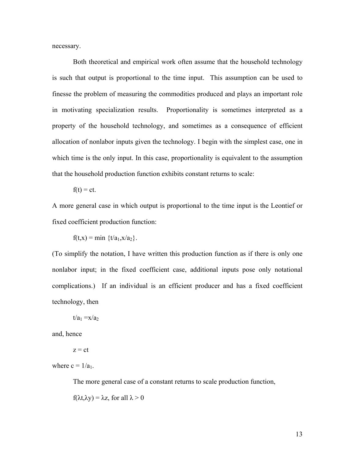necessary.

 Both theoretical and empirical work often assume that the household technology is such that output is proportional to the time input. This assumption can be used to finesse the problem of measuring the commodities produced and plays an important role in motivating specialization results. Proportionality is sometimes interpreted as a property of the household technology, and sometimes as a consequence of efficient allocation of nonlabor inputs given the technology. I begin with the simplest case, one in which time is the only input. In this case, proportionality is equivalent to the assumption that the household production function exhibits constant returns to scale:

$$
f(t) = ct.
$$

A more general case in which output is proportional to the time input is the Leontief or fixed coefficient production function:

 $f(t,x) = min \{t/a_1, x/a_2\}.$ 

(To simplify the notation, I have written this production function as if there is only one nonlabor input; in the fixed coefficient case, additional inputs pose only notational complications.) If an individual is an efficient producer and has a fixed coefficient technology, then

 $t/a_1 = x/a_2$ 

and, hence

 $z = ct$ 

where  $c = 1/a_1$ .

The more general case of a constant returns to scale production function,

 $f(\lambda t, \lambda y) = \lambda z$ , for all  $\lambda > 0$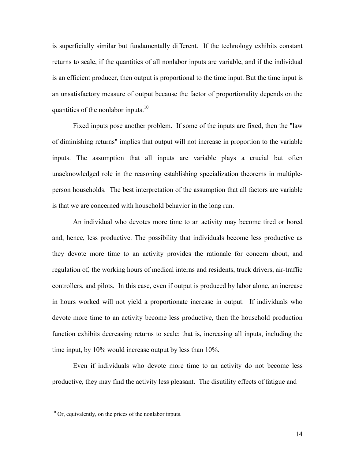is superficially similar but fundamentally different. If the technology exhibits constant returns to scale, if the quantities of all nonlabor inputs are variable, and if the individual is an efficient producer, then output is proportional to the time input. But the time input is an unsatisfactory measure of output because the factor of proportionality depends on the quantities of the nonlabor inputs. $10<sup>10</sup>$ 

 Fixed inputs pose another problem. If some of the inputs are fixed, then the "law of diminishing returns" implies that output will not increase in proportion to the variable inputs. The assumption that all inputs are variable plays a crucial but often unacknowledged role in the reasoning establishing specialization theorems in multipleperson households. The best interpretation of the assumption that all factors are variable is that we are concerned with household behavior in the long run.

 An individual who devotes more time to an activity may become tired or bored and, hence, less productive. The possibility that individuals become less productive as they devote more time to an activity provides the rationale for concern about, and regulation of, the working hours of medical interns and residents, truck drivers, air-traffic controllers, and pilots. In this case, even if output is produced by labor alone, an increase in hours worked will not yield a proportionate increase in output. If individuals who devote more time to an activity become less productive, then the household production function exhibits decreasing returns to scale: that is, increasing all inputs, including the time input, by 10% would increase output by less than 10%.

 Even if individuals who devote more time to an activity do not become less productive, they may find the activity less pleasant. The disutility effects of fatigue and

<sup>&</sup>lt;sup>10</sup> Or, equivalently, on the prices of the nonlabor inputs.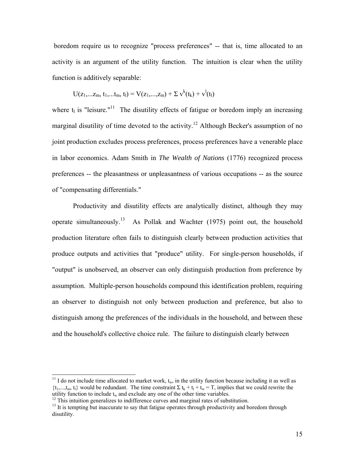boredom require us to recognize "process preferences" -- that is, time allocated to an activity is an argument of the utility function. The intuition is clear when the utility function is additively separable:

$$
U(z_1,...z_m, t_1,...t_m, t_l) = V(z_1,...,z_m) + \Sigma v^k(t_k) + v^l(t_l)
$$

where  $t_1$  is "leisure."<sup>11</sup> The disutility effects of fatigue or boredom imply an increasing marginal disutility of time devoted to the activity.<sup>12</sup> Although Becker's assumption of no joint production excludes process preferences, process preferences have a venerable place in labor economics. Adam Smith in *The Wealth of Nations* (1776) recognized process preferences -- the pleasantness or unpleasantness of various occupations -- as the source of "compensating differentials."

 Productivity and disutility effects are analytically distinct, although they may operate simultaneously.<sup>13</sup> As Pollak and Wachter (1975) point out, the household production literature often fails to distinguish clearly between production activities that produce outputs and activities that "produce" utility. For single-person households, if "output" is unobserved, an observer can only distinguish production from preference by assumption. Multiple-person households compound this identification problem, requiring an observer to distinguish not only between production and preference, but also to distinguish among the preferences of the individuals in the household, and between these and the household's collective choice rule. The failure to distinguish clearly between

l

<sup>&</sup>lt;sup>11</sup> I do not include time allocated to market work,  $t_w$ , in the utility function because including it as well as  $\{t_1,...,t_m, t_l\}$  would be redundant. The time constraint  $\Sigma t_k + t_l + t_w = T$ , implies that we could rewrite the utility function to include  $t_w$  and exclude any one of the other time variables.

 $12$  This intuition generalizes to indifference curves and marginal rates of substitution.

<sup>&</sup>lt;sup>13</sup> It is tempting but inaccurate to say that fatigue operates through productivity and boredom through disutility.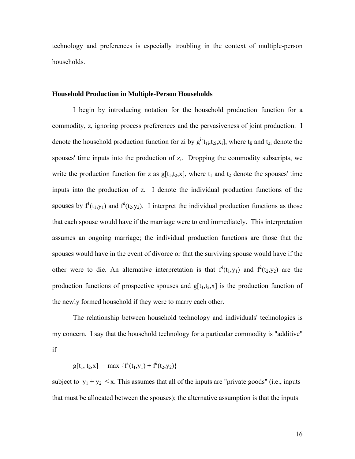technology and preferences is especially troubling in the context of multiple-person households.

## **Household Production in Multiple-Person Households**

 I begin by introducing notation for the household production function for a commodity, z, ignoring process preferences and the pervasiveness of joint production. I denote the household production function for zi by  $g^i[t_{1i}, t_{2i}, x_i]$ , where  $t_{li}$  and  $t_{2i}$  denote the spouses' time inputs into the production of  $z_i$ . Dropping the commodity subscripts, we write the production function for z as  $g[t_1,t_2,x]$ , where  $t_1$  and  $t_2$  denote the spouses' time inputs into the production of z. I denote the individual production functions of the spouses by  $f^1(t_1,y_1)$  and  $f^2(t_2,y_2)$ . I interpret the individual production functions as those that each spouse would have if the marriage were to end immediately. This interpretation assumes an ongoing marriage; the individual production functions are those that the spouses would have in the event of divorce or that the surviving spouse would have if the other were to die. An alternative interpretation is that  $f^1(t_1,y_1)$  and  $f^2(t_2,y_2)$  are the production functions of prospective spouses and  $g[t_1,t_2,x]$  is the production function of the newly formed household if they were to marry each other.

 The relationship between household technology and individuals' technologies is my concern. I say that the household technology for a particular commodity is "additive" if

 $g[t_1, t_2, x] = max \{f^1(t_1, y_1) + f^2(t_2, y_2)\}\$ 

subject to  $y_1 + y_2 \le x$ . This assumes that all of the inputs are "private goods" (i.e., inputs that must be allocated between the spouses); the alternative assumption is that the inputs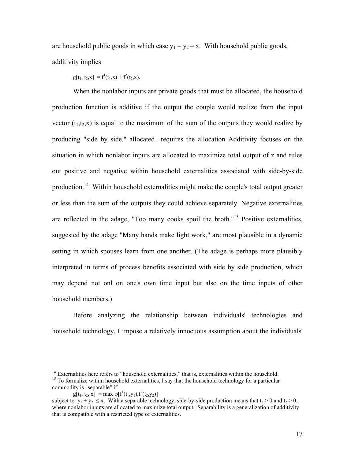are household public goods in which case  $y_1 = y_2 = x$ . With household public goods, additivity implies

$$
g[t_1, t_2, x] = f^1(t_1, x) + f^2(t_2, x).
$$

When the nonlabor inputs are private goods that must be allocated, the household production function is additive if the output the couple would realize from the input vector  $(t_1,t_2,x)$  is equal to the maximum of the sum of the outputs they would realize by producing "side by side." allocated requires the allocation Additivity focuses on the situation in which nonlabor inputs are allocated to maximize total output of z and rules out positive and negative within household externalities associated with side-by-side production.14 Within household externalities might make the couple's total output greater or less than the sum of the outputs they could achieve separately. Negative externalities are reflected in the adage, "Too many cooks spoil the broth."15 Positive externalities, suggested by the adage "Many hands make light work," are most plausible in a dynamic setting in which spouses learn from one another. (The adage is perhaps more plausibly interpreted in terms of process benefits associated with side by side production, which may depend not onl on one's own time input but also on the time inputs of other household members.)

 Before analyzing the relationship between individuals' technologies and household technology, I impose a relatively innocuous assumption about the individuals'

 $14$  Externalities here refers to "household externalities," that is, externalities within the household.  $15$  To formalize within household externalities, I say that the household technology for a particular commodity is "separable" if

 $g[t_1, t_2, x] = \max \varphi[f^1(t_1, y_1), f^2(t_2, y_2)]$ 

subject to  $y_1 + y_2 \le x$ . With a separable technology, side-by-side production means that  $t_1 > 0$  and  $t_2 > 0$ , where nonlabor inputs are allocated to maximize total output. Separability is a generalization of additivity that is compatible with a restricted type of externalities.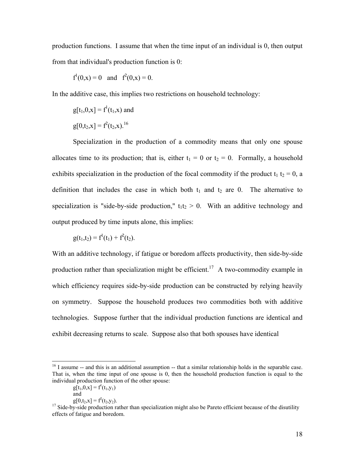production functions. I assume that when the time input of an individual is 0, then output from that individual's production function is 0:

$$
f^1(0,x) = 0
$$
 and  $f^2(0,x) = 0$ .

In the additive case, this implies two restrictions on household technology:

$$
g[t_1, 0, x] = f1(t_1, x) \text{ and}
$$

$$
g[0, t_2, x] = f2(t_2, x).
$$

 Specialization in the production of a commodity means that only one spouse allocates time to its production; that is, either  $t_1 = 0$  or  $t_2 = 0$ . Formally, a household exhibits specialization in the production of the focal commodity if the product  $t_1$  t<sub>2</sub> = 0, a definition that includes the case in which both  $t_1$  and  $t_2$  are 0. The alternative to specialization is "side-by-side production,"  $t_1t_2 > 0$ . With an additive technology and output produced by time inputs alone, this implies:

$$
g(t_1,t_2) = f^{1}(t_1) + f^{2}(t_2).
$$

With an additive technology, if fatigue or boredom affects productivity, then side-by-side production rather than specialization might be efficient.<sup>17</sup> A two-commodity example in which efficiency requires side-by-side production can be constructed by relying heavily on symmetry. Suppose the household produces two commodities both with additive technologies. Suppose further that the individual production functions are identical and exhibit decreasing returns to scale. Suppose also that both spouses have identical

<sup>&</sup>lt;sup>16</sup> I assume -- and this is an additional assumption -- that a similar relationship holds in the separable case. That is, when the time input of one spouse is 0, then the household production function is equal to the individual production function of the other spouse:

 $g[t_1, 0, x] = f^1(t_1, y_1)$ 

and

 $g[0,t_2,x] = f^2(t_2,y_2).$ 

 $17$  Side-by-side production rather than specialization might also be Pareto efficient because of the disutility effects of fatigue and boredom.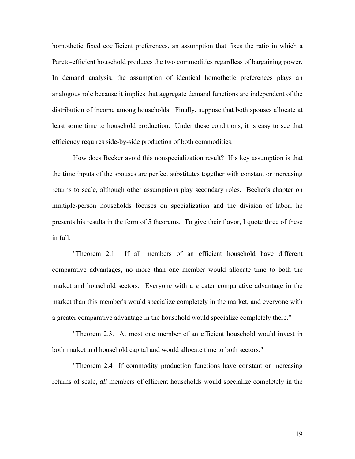homothetic fixed coefficient preferences, an assumption that fixes the ratio in which a Pareto-efficient household produces the two commodities regardless of bargaining power. In demand analysis, the assumption of identical homothetic preferences plays an analogous role because it implies that aggregate demand functions are independent of the distribution of income among households. Finally, suppose that both spouses allocate at least some time to household production. Under these conditions, it is easy to see that efficiency requires side-by-side production of both commodities.

 How does Becker avoid this nonspecialization result? His key assumption is that the time inputs of the spouses are perfect substitutes together with constant or increasing returns to scale, although other assumptions play secondary roles. Becker's chapter on multiple-person households focuses on specialization and the division of labor; he presents his results in the form of 5 theorems. To give their flavor, I quote three of these in full:

 "Theorem 2.1 If all members of an efficient household have different comparative advantages, no more than one member would allocate time to both the market and household sectors. Everyone with a greater comparative advantage in the market than this member's would specialize completely in the market, and everyone with a greater comparative advantage in the household would specialize completely there."

 "Theorem 2.3. At most one member of an efficient household would invest in both market and household capital and would allocate time to both sectors."

 "Theorem 2.4 If commodity production functions have constant or increasing returns of scale, *all* members of efficient households would specialize completely in the

19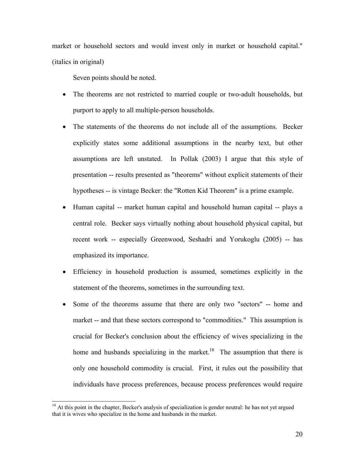market or household sectors and would invest only in market or household capital." (italics in original)

Seven points should be noted.

- The theorems are not restricted to married couple or two-adult households, but purport to apply to all multiple-person households.
- The statements of the theorems do not include all of the assumptions. Becker explicitly states some additional assumptions in the nearby text, but other assumptions are left unstated. In Pollak (2003) I argue that this style of presentation -- results presented as "theorems" without explicit statements of their hypotheses -- is vintage Becker: the "Rotten Kid Theorem" is a prime example.
- Human capital -- market human capital and household human capital -- plays a central role. Becker says virtually nothing about household physical capital, but recent work -- especially Greenwood, Seshadri and Yorukoglu (2005) -- has emphasized its importance.
- Efficiency in household production is assumed, sometimes explicitly in the statement of the theorems, sometimes in the surrounding text.
- Some of the theorems assume that there are only two "sectors" -- home and market -- and that these sectors correspond to "commodities." This assumption is crucial for Becker's conclusion about the efficiency of wives specializing in the home and husbands specializing in the market.<sup>18</sup> The assumption that there is only one household commodity is crucial. First, it rules out the possibility that individuals have process preferences, because process preferences would require

<sup>&</sup>lt;sup>18</sup> At this point in the chapter, Becker's analysis of specialization is gender neutral: he has not yet argued that it is wives who specialize in the home and husbands in the market.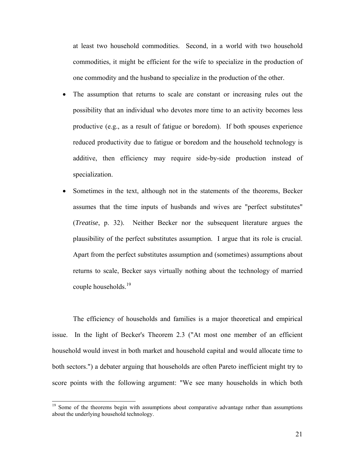at least two household commodities. Second, in a world with two household commodities, it might be efficient for the wife to specialize in the production of one commodity and the husband to specialize in the production of the other.

- The assumption that returns to scale are constant or increasing rules out the possibility that an individual who devotes more time to an activity becomes less productive (e.g., as a result of fatigue or boredom). If both spouses experience reduced productivity due to fatigue or boredom and the household technology is additive, then efficiency may require side-by-side production instead of specialization.
- Sometimes in the text, although not in the statements of the theorems, Becker assumes that the time inputs of husbands and wives are "perfect substitutes" (*Treatise*, p. 32). Neither Becker nor the subsequent literature argues the plausibility of the perfect substitutes assumption. I argue that its role is crucial. Apart from the perfect substitutes assumption and (sometimes) assumptions about returns to scale, Becker says virtually nothing about the technology of married couple households.<sup>19</sup>

 The efficiency of households and families is a major theoretical and empirical issue. In the light of Becker's Theorem 2.3 ("At most one member of an efficient household would invest in both market and household capital and would allocate time to both sectors.") a debater arguing that households are often Pareto inefficient might try to score points with the following argument: "We see many households in which both

<sup>&</sup>lt;sup>19</sup> Some of the theorems begin with assumptions about comparative advantage rather than assumptions about the underlying household technology.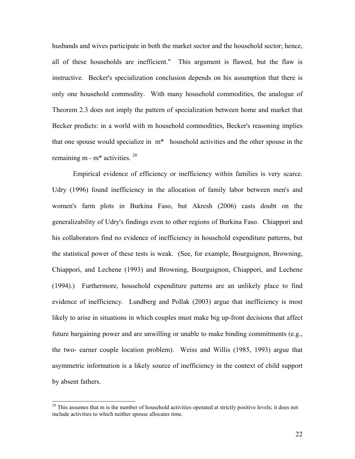husbands and wives participate in both the market sector and the household sector; hence, all of these households are inefficient." This argument is flawed, but the flaw is instructive. Becker's specialization conclusion depends on his assumption that there is only one household commodity. With many household commodities, the analogue of Theorem 2.3 does not imply the pattern of specialization between home and market that Becker predicts: in a world with m household commodities, Becker's reasoning implies that one spouse would specialize in m\* household activities and the other spouse in the remaining m -  $m^*$  activities.  $20$ 

 Empirical evidence of efficiency or inefficiency within families is very scarce. Udry (1996) found inefficiency in the allocation of family labor between men's and women's farm plots in Burkina Faso, but Akresh (2006) casts doubt on the generalizability of Udry's findings even to other regions of Burkina Faso. Chiappori and his collaborators find no evidence of inefficiency in household expenditure patterns, but the statistical power of these tests is weak. (See, for example, Bourguignon, Browning, Chiappori, and Lechene (1993) and Browning, Bourguignon, Chiappori, and Lechene (1994).) Furthermore, household expenditure patterns are an unlikely place to find evidence of inefficiency. Lundberg and Pollak (2003) argue that inefficiency is most likely to arise in situations in which couples must make big up-front decisions that affect future bargaining power and are unwilling or unable to make binding commitments (e.g., the two- earner couple location problem). Weiss and Willis (1985, 1993) argue that asymmetric information is a likely source of inefficiency in the context of child support by absent fathers.

 $20$  This assumes that m is the number of household activities operated at strictly positive levels; it does not include activities to which neither spouse allocates time.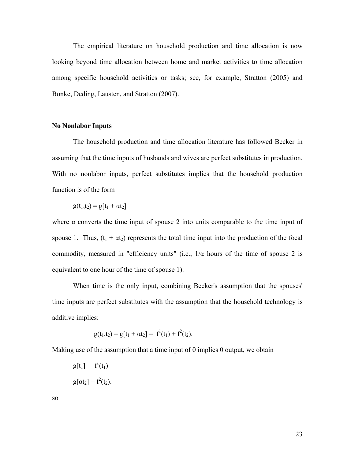The empirical literature on household production and time allocation is now looking beyond time allocation between home and market activities to time allocation among specific household activities or tasks; see, for example, Stratton (2005) and Bonke, Deding, Lausten, and Stratton (2007).

## **No Nonlabor Inputs**

 The household production and time allocation literature has followed Becker in assuming that the time inputs of husbands and wives are perfect substitutes in production. With no nonlabor inputs, perfect substitutes implies that the household production function is of the form

$$
g(t_1,t_2)=g[t_1+\alpha t_2]
$$

where  $\alpha$  converts the time input of spouse 2 into units comparable to the time input of spouse 1. Thus,  $(t_1 + \alpha t_2)$  represents the total time input into the production of the focal commodity, measured in "efficiency units" (i.e.,  $1/\alpha$  hours of the time of spouse 2 is equivalent to one hour of the time of spouse 1).

 When time is the only input, combining Becker's assumption that the spouses' time inputs are perfect substitutes with the assumption that the household technology is additive implies:

$$
g(t_1,t_2) = g[t_1 + \alpha t_2] = f^{1}(t_1) + f^{2}(t_2).
$$

Making use of the assumption that a time input of 0 implies 0 output, we obtain

$$
g[t_1] = f1(t_1)
$$

$$
g[\alpha t_2] = f2(t_2).
$$

so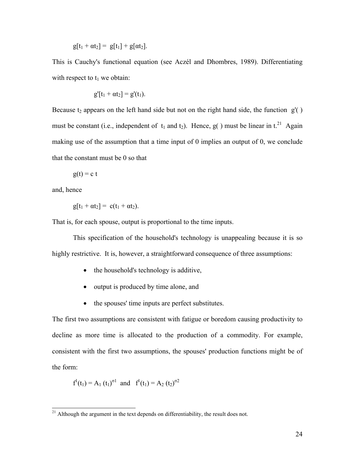$g[t_1 + \alpha t_2] = g[t_1] + g[\alpha t_2].$ 

This is Cauchy's functional equation (see Aczél and Dhombres, 1989). Differentiating with respect to  $t_1$  we obtain:

$$
g'[t_1 + \alpha t_2] = g'(t_1).
$$

Because  $t_2$  appears on the left hand side but not on the right hand side, the function  $g'( )$ must be constant (i.e., independent of  $t_1$  and  $t_2$ ). Hence, g() must be linear in  $t^{21}$  Again making use of the assumption that a time input of 0 implies an output of 0, we conclude that the constant must be 0 so that

$$
g(t) = c t
$$

and, hence

 $\overline{a}$ 

$$
g[t_1 + \alpha t_2] = c(t_1 + \alpha t_2).
$$

That is, for each spouse, output is proportional to the time inputs.

 This specification of the household's technology is unappealing because it is so highly restrictive. It is, however, a straightforward consequence of three assumptions:

- the household's technology is additive,
- output is produced by time alone, and
- the spouses' time inputs are perfect substitutes.

The first two assumptions are consistent with fatigue or boredom causing productivity to decline as more time is allocated to the production of a commodity. For example, consistent with the first two assumptions, the spouses' production functions might be of the form:

$$
f^1(t_1) = A_1 (t_1)^{\sigma 1}
$$
 and  $f^1(t_1) = A_2 (t_2)^{\sigma 2}$ 

 $21$  Although the argument in the text depends on differentiability, the result does not.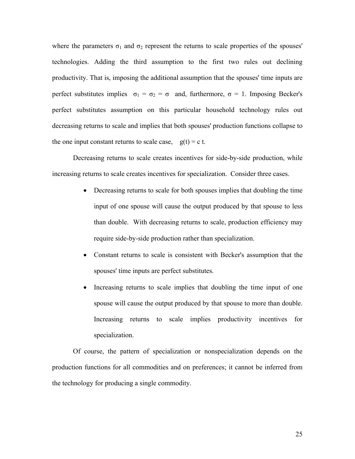where the parameters  $\sigma_1$  and  $\sigma_2$  represent the returns to scale properties of the spouses' technologies. Adding the third assumption to the first two rules out declining productivity. That is, imposing the additional assumption that the spouses' time inputs are perfect substitutes implies  $\sigma_1 = \sigma_2 = \sigma$  and, furthermore,  $\sigma = 1$ . Imposing Becker's perfect substitutes assumption on this particular household technology rules out decreasing returns to scale and implies that both spouses' production functions collapse to the one input constant returns to scale case,  $g(t) = c t$ .

 Decreasing returns to scale creates incentives for side-by-side production, while increasing returns to scale creates incentives for specialization. Consider three cases.

- Decreasing returns to scale for both spouses implies that doubling the time input of one spouse will cause the output produced by that spouse to less than double. With decreasing returns to scale, production efficiency may require side-by-side production rather than specialization.
- Constant returns to scale is consistent with Becker's assumption that the spouses' time inputs are perfect substitutes.
- Increasing returns to scale implies that doubling the time input of one spouse will cause the output produced by that spouse to more than double. Increasing returns to scale implies productivity incentives for specialization.

Of course, the pattern of specialization or nonspecialization depends on the production functions for all commodities and on preferences; it cannot be inferred from the technology for producing a single commodity.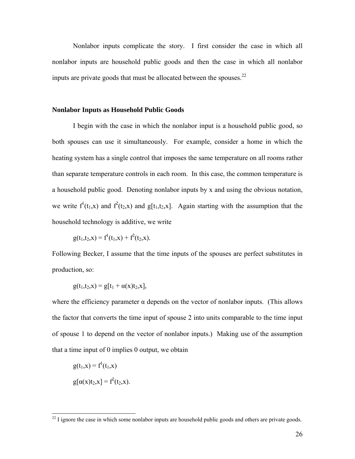Nonlabor inputs complicate the story. I first consider the case in which all nonlabor inputs are household public goods and then the case in which all nonlabor inputs are private goods that must be allocated between the spouses.<sup>22</sup>

## **Nonlabor Inputs as Household Public Goods**

 I begin with the case in which the nonlabor input is a household public good, so both spouses can use it simultaneously. For example, consider a home in which the heating system has a single control that imposes the same temperature on all rooms rather than separate temperature controls in each room. In this case, the common temperature is a household public good. Denoting nonlabor inputs by x and using the obvious notation, we write  $f^1(t_1,x)$  and  $f^2(t_2,x)$  and  $g[t_1,t_2,x]$ . Again starting with the assumption that the household technology is additive, we write

$$
g(t_1,t_2,x) = f^1(t_1,x) + f^2(t_2,x).
$$

Following Becker, I assume that the time inputs of the spouses are perfect substitutes in production, so:

 $g(t_1,t_2,x) = g[t_1 + \alpha(x)t_2,x],$ 

where the efficiency parameter  $\alpha$  depends on the vector of nonlabor inputs. (This allows the factor that converts the time input of spouse 2 into units comparable to the time input of spouse 1 to depend on the vector of nonlabor inputs.) Making use of the assumption that a time input of 0 implies 0 output, we obtain

$$
g(t_1, x) = f^{1}(t_1, x)
$$

$$
g[\alpha(x)t_2, x] = f^{2}(t_2, x).
$$

 $22$  I ignore the case in which some nonlabor inputs are household public goods and others are private goods.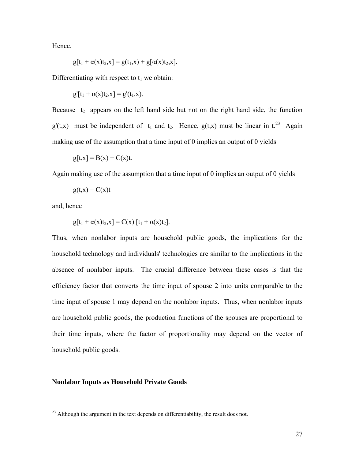Hence,

$$
g[t_1 + \alpha(x)t_2, x] = g(t_1, x) + g[\alpha(x)t_2, x].
$$

Differentiating with respect to  $t_1$  we obtain:

$$
g'[t_1 + \alpha(x)t_2, x] = g'(t_1, x).
$$

Because  $t_2$  appears on the left hand side but not on the right hand side, the function  $g'(t,x)$  must be independent of  $t_1$  and  $t_2$ . Hence,  $g(t,x)$  must be linear in  $t_1^{23}$  Again making use of the assumption that a time input of 0 implies an output of 0 yields

$$
g[t,x] = B(x) + C(x)t.
$$

Again making use of the assumption that a time input of 0 implies an output of 0 yields

$$
g(t,x) = C(x)t
$$

and, hence

 $\overline{a}$ 

$$
g[t_1 + \alpha(x)t_2, x] = C(x) [t_1 + \alpha(x)t_2].
$$

Thus, when nonlabor inputs are household public goods, the implications for the household technology and individuals' technologies are similar to the implications in the absence of nonlabor inputs. The crucial difference between these cases is that the efficiency factor that converts the time input of spouse 2 into units comparable to the time input of spouse 1 may depend on the nonlabor inputs. Thus, when nonlabor inputs are household public goods, the production functions of the spouses are proportional to their time inputs, where the factor of proportionality may depend on the vector of household public goods.

## **Nonlabor Inputs as Household Private Goods**

 $^{23}$  Although the argument in the text depends on differentiability, the result does not.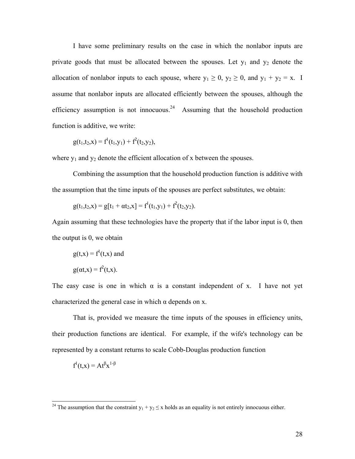I have some preliminary results on the case in which the nonlabor inputs are private goods that must be allocated between the spouses. Let  $y_1$  and  $y_2$  denote the allocation of nonlabor inputs to each spouse, where  $y_1 \ge 0$ ,  $y_2 \ge 0$ , and  $y_1 + y_2 = x$ . I assume that nonlabor inputs are allocated efficiently between the spouses, although the efficiency assumption is not innocuous.<sup>24</sup> Assuming that the household production function is additive, we write:

$$
g(t_1,t_2,x) = f^1(t_1,y_1) + f^2(t_2,y_2),
$$

where  $y_1$  and  $y_2$  denote the efficient allocation of x between the spouses.

 Combining the assumption that the household production function is additive with the assumption that the time inputs of the spouses are perfect substitutes, we obtain:

$$
g(t_1,t_2,x) = g[t_1 + \alpha t_2,x] = f^{1}(t_1,y_1) + f^{2}(t_2,y_2).
$$

Again assuming that these technologies have the property that if the labor input is 0, then the output is 0, we obtain

$$
g(t,x) = f1(t,x) \text{ and}
$$

$$
g(\alpha t, x) = f2(t,x).
$$

The easy case is one in which  $\alpha$  is a constant independent of x. I have not yet characterized the general case in which  $\alpha$  depends on x.

 That is, provided we measure the time inputs of the spouses in efficiency units, their production functions are identical. For example, if the wife's technology can be represented by a constant returns to scale Cobb-Douglas production function

$$
f^{1}(t,x) = At^{\beta}x^{1-\beta}
$$

<sup>&</sup>lt;sup>24</sup> The assumption that the constraint  $y_1 + y_2 \le x$  holds as an equality is not entirely innocuous either.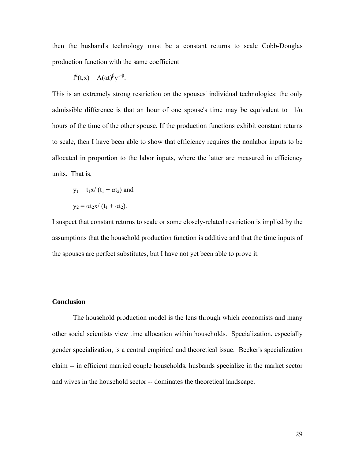then the husband's technology must be a constant returns to scale Cobb-Douglas production function with the same coefficient

$$
f^{2}(t,x) = A(\alpha t)^{\beta} y^{1-\beta}.
$$

This is an extremely strong restriction on the spouses' individual technologies: the only admissible difference is that an hour of one spouse's time may be equivalent to  $1/\alpha$ hours of the time of the other spouse. If the production functions exhibit constant returns to scale, then I have been able to show that efficiency requires the nonlabor inputs to be allocated in proportion to the labor inputs, where the latter are measured in efficiency units. That is,

$$
y_1 = t_1 x / (t_1 + \alpha t_2)
$$
 and  

$$
y_2 = \alpha t_2 x / (t_1 + \alpha t_2).
$$

I suspect that constant returns to scale or some closely-related restriction is implied by the assumptions that the household production function is additive and that the time inputs of the spouses are perfect substitutes, but I have not yet been able to prove it.

## **Conclusion**

 The household production model is the lens through which economists and many other social scientists view time allocation within households. Specialization, especially gender specialization, is a central empirical and theoretical issue. Becker's specialization claim -- in efficient married couple households, husbands specialize in the market sector and wives in the household sector -- dominates the theoretical landscape.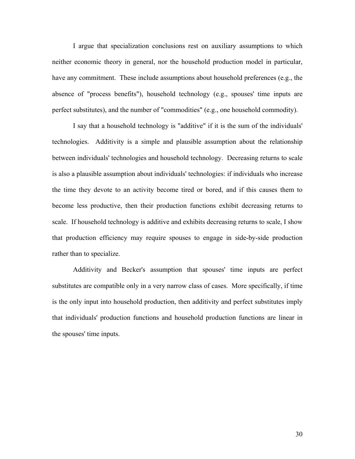I argue that specialization conclusions rest on auxiliary assumptions to which neither economic theory in general, nor the household production model in particular, have any commitment. These include assumptions about household preferences (e.g., the absence of "process benefits"), household technology (e.g., spouses' time inputs are perfect substitutes), and the number of "commodities" (e.g., one household commodity).

 I say that a household technology is "additive" if it is the sum of the individuals' technologies. Additivity is a simple and plausible assumption about the relationship between individuals' technologies and household technology. Decreasing returns to scale is also a plausible assumption about individuals' technologies: if individuals who increase the time they devote to an activity become tired or bored, and if this causes them to become less productive, then their production functions exhibit decreasing returns to scale. If household technology is additive and exhibits decreasing returns to scale, I show that production efficiency may require spouses to engage in side-by-side production rather than to specialize.

 Additivity and Becker's assumption that spouses' time inputs are perfect substitutes are compatible only in a very narrow class of cases. More specifically, if time is the only input into household production, then additivity and perfect substitutes imply that individuals' production functions and household production functions are linear in the spouses' time inputs.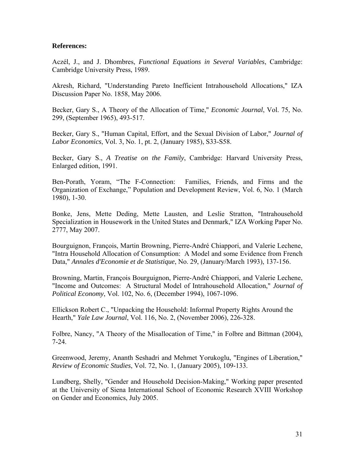## **References:**

Aczél, J., and J. Dhombres, *Functional Equations in Several Variables*, Cambridge: Cambridge University Press, 1989.

Akresh, Richard, "Understanding Pareto Inefficient Intrahousehold Allocations," IZA Discussion Paper No. 1858, May 2006.

Becker, Gary S., A Theory of the Allocation of Time," *Economic Journal*, Vol. 75, No. 299, (September 1965), 493-517.

Becker, Gary S., "Human Capital, Effort, and the Sexual Division of Labor," *Journal of Labor Economics*, Vol. 3, No. 1, pt. 2, (January 1985), S33-S58.

Becker, Gary S., *A Treatise on the Family*, Cambridge: Harvard University Press, Enlarged edition, 1991.

Ben-Porath, Yoram, "The F-Connection: Families, Friends, and Firms and the Organization of Exchange," Population and Development Review, Vol. 6, No. 1 (March 1980), 1-30.

Bonke, Jens, Mette Deding, Mette Lausten, and Leslie Stratton, "Intrahousehold Specialization in Housework in the United States and Denmark," IZA Working Paper No. 2777, May 2007.

Bourguignon, François, Martin Browning, Pierre-André Chiappori, and Valerie Lechene, "Intra Household Allocation of Consumption: A Model and some Evidence from French Data," *Annales d'Economie et de Statistique*, No. 29, (January/March 1993), 137-156.

Browning, Martin, François Bourguignon, Pierre-André Chiappori, and Valerie Lechene, "Income and Outcomes: A Structural Model of Intrahousehold Allocation," *Journal of Political Economy*, Vol. 102, No. 6, (December 1994), 1067-1096.

Ellickson Robert C., "Unpacking the Household: Informal Property Rights Around the Hearth," *Yale Law Journal*, Vol. 116, No. 2, (November 2006), 226-328.

Folbre, Nancy, "A Theory of the Misallocation of Time," in Folbre and Bittman (2004), 7-24.

Greenwood, Jeremy, Ananth Seshadri and Mehmet Yorukoglu, "Engines of Liberation," *Review of Economic Studies*, Vol. 72, No. 1, (January 2005), 109-133.

Lundberg, Shelly, "Gender and Household Decision-Making," Working paper presented at the University of Siena International School of Economic Research XVIII Workshop on Gender and Economics, July 2005.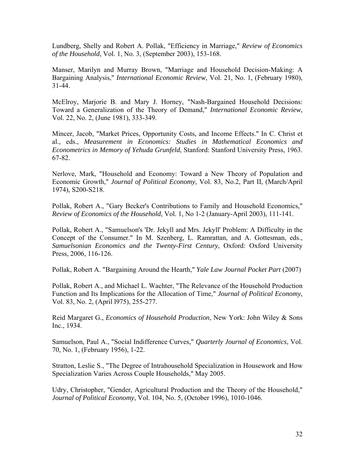Lundberg, Shelly and Robert A. Pollak, "Efficiency in Marriage," *Review of Economics of the Household*, Vol. 1, No. 3, (September 2003), 153-168.

Manser, Marilyn and Murray Brown, "Marriage and Household Decision-Making: A Bargaining Analysis," *International Economic Review*, Vol. 21, No. 1, (February 1980), 31-44.

McElroy, Marjorie B. and Mary J. Horney, "Nash-Bargained Household Decisions: Toward a Generalization of the Theory of Demand," *International Economic Review*, Vol. 22, No. 2, (June 1981), 333-349.

Mincer, Jacob, "Market Prices, Opportunity Costs, and Income Effects." In C. Christ et al., eds., *Measurement in Economics: Studies in Mathematical Economics and Econometrics in Memory of Yehuda Grunfeld*, Stanford: Stanford University Press, 1963. 67-82.

Nerlove, Mark, "Household and Economy: Toward a New Theory of Population and Economic Growth," *Journal of Political Economy*, Vol. 83, No.2, Part II, (March/April 1974), S200-S218.

Pollak, Robert A., "Gary Becker's Contributions to Family and Household Economics," *Review of Economics of the Household*, Vol. 1, No 1-2 (January-April 2003), 111-141.

Pollak, Robert A., "Samuelson's 'Dr. Jekyll and Mrs. Jekyll' Problem: A Difficulty in the Concept of the Consumer." In M. Szenberg, L. Ramrattan, and A. Gottesman, eds., *Samuelsonian Economics and the Twenty-First Century*, Oxford: Oxford University Press, 2006, 116-126.

Pollak, Robert A. "Bargaining Around the Hearth," *Yale Law Journal Pocket Part* (2007)

Pollak, Robert A., and Michael L. Wachter, "The Relevance of the Household Production Function and Its Implications for the Allocation of Time," *Journal of Political Economy*, Vol. 83, No. 2, (April l975), 255-277.

Reid Margaret G., *Economics of Household Production*, New York: John Wiley & Sons Inc., 1934.

Samuelson, Paul A., "Social Indifference Curves," *Quarterly Journal of Economics*, Vol. 70, No. 1, (February 1956), 1-22.

Stratton, Leslie S., "The Degree of Intrahousehold Specialization in Housework and How Specialization Varies Across Couple Households," May 2005.

Udry, Christopher, "Gender, Agricultural Production and the Theory of the Household," *Journal of Political Economy*, Vol. 104, No. 5, (October 1996), 1010-1046.